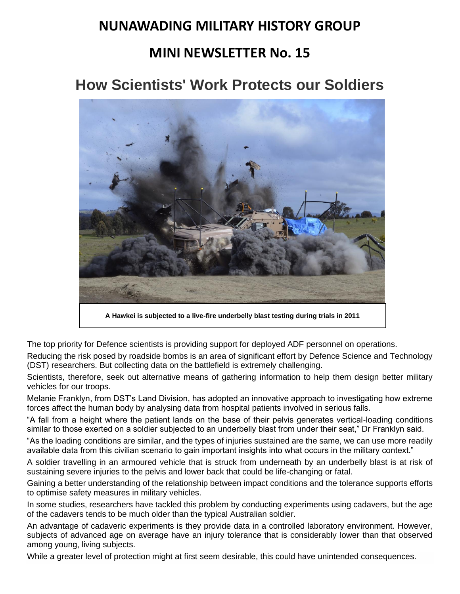# **NUNAWADING MILITARY HISTORY GROUP**

# **MINI NEWSLETTER No. 15**

# **How Scientists' Work Protects our Soldiers**



**A Hawkei is subjected to a live-fire underbelly blast testing during trials in 2011**

The top priority for Defence scientists is providing support for deployed ADF personnel on operations.

Reducing the risk posed by roadside bombs is an area of significant effort by Defence Science and Technology (DST) researchers. But collecting data on the battlefield is extremely challenging.

Scientists, therefore, seek out alternative means of gathering information to help them design better military vehicles for our troops.

Melanie Franklyn, from DST's Land Division, has adopted an innovative approach to investigating how extreme forces affect the human body by analysing data from hospital patients involved in serious falls.

"A fall from a height where the patient lands on the base of their pelvis generates vertical-loading conditions similar to those exerted on a soldier subjected to an underbelly blast from under their seat," Dr Franklyn said.

"As the loading conditions are similar, and the types of injuries sustained are the same, we can use more readily available data from this civilian scenario to gain important insights into what occurs in the military context."

A soldier travelling in an armoured vehicle that is struck from underneath by an underbelly blast is at risk of sustaining severe injuries to the pelvis and lower back that could be life-changing or fatal.

Gaining a better understanding of the relationship between impact conditions and the tolerance supports efforts to optimise safety measures in military vehicles.

In some studies, researchers have tackled this problem by conducting experiments using cadavers, but the age of the cadavers tends to be much older than the typical Australian soldier.

An advantage of cadaveric experiments is they provide data in a controlled laboratory environment. However, subjects of advanced age on average have an injury tolerance that is considerably lower than that observed among young, living subjects.

While a greater level of protection might at first seem desirable, this could have unintended consequences.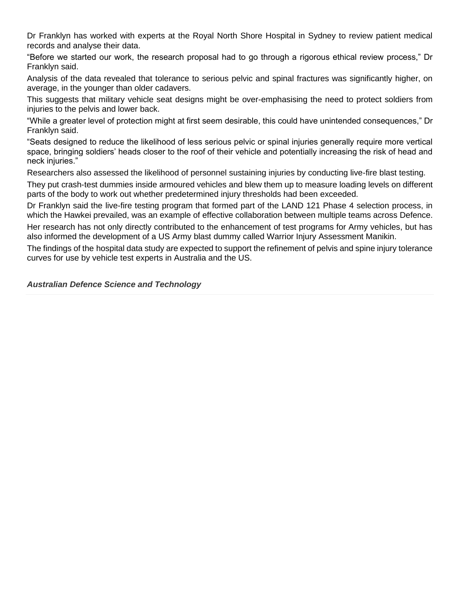Dr Franklyn has worked with experts at the Royal North Shore Hospital in Sydney to review patient medical records and analyse their data.

"Before we started our work, the research proposal had to go through a rigorous ethical review process," Dr Franklyn said.

Analysis of the data revealed that tolerance to serious pelvic and spinal fractures was significantly higher, on average, in the younger than older cadavers.

This suggests that military vehicle seat designs might be over-emphasising the need to protect soldiers from injuries to the pelvis and lower back.

"While a greater level of protection might at first seem desirable, this could have unintended consequences," Dr Franklyn said.

"Seats designed to reduce the likelihood of less serious pelvic or spinal injuries generally require more vertical space, bringing soldiers' heads closer to the roof of their vehicle and potentially increasing the risk of head and neck injuries."

Researchers also assessed the likelihood of personnel sustaining injuries by conducting live-fire blast testing.

They put crash-test dummies inside armoured vehicles and blew them up to measure loading levels on different parts of the body to work out whether predetermined injury thresholds had been exceeded.

Dr Franklyn said the live-fire testing program that formed part of the LAND 121 Phase 4 selection process, in which the Hawkei prevailed, was an example of effective collaboration between multiple teams across Defence.

Her research has not only directly contributed to the enhancement of test programs for Army vehicles, but has also informed the development of a US Army blast dummy called Warrior Injury Assessment Manikin.

The findings of the hospital data study are expected to support the refinement of pelvis and spine injury tolerance curves for use by vehicle test experts in Australia and the US.

*Australian Defence Science and Technology*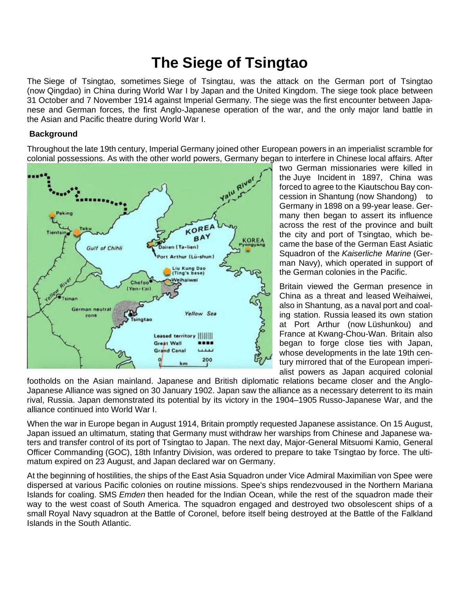# **The Siege of Tsingtao**

The Siege of Tsingtao, sometimes Siege of Tsingtau, was the attack on the German port of Tsingtao (now [Qingdao\)](https://en.wikipedia.org/wiki/Qingdao) in China during [World War I](https://en.wikipedia.org/wiki/World_War_I) by [Japan](https://en.wikipedia.org/wiki/Empire_of_Japan) and the [United Kingdom.](https://en.wikipedia.org/wiki/United_Kingdom_of_Great_Britain_and_Ireland) The siege took place between 31 October and 7 November 1914 against [Imperial Germany.](https://en.wikipedia.org/wiki/Imperial_Germany) The siege was the first encounter between Japanese and German forces, the first Anglo-Japanese operation of the war, and the only major land battle in the [Asian and Pacific theatre](https://en.wikipedia.org/wiki/Asian_and_Pacific_theatre_of_World_War_I) during World War I.

## **Background**

Throughout the late 19th century, Imperial Germany joined other [European](https://en.wikipedia.org/wiki/Europe) powers in an [imperialist](https://en.wikipedia.org/wiki/Imperialism) scramble for colonial possessions. As with the other [world powers,](https://en.wikipedia.org/wiki/World_power) Germany began to interfere in Chinese local affairs. After



two German missionaries were killed in the [Juye Incident](https://en.wikipedia.org/wiki/Juye_Incident) in 1897, China was forced to agree to the [Kiautschou Bay con](https://en.wikipedia.org/wiki/Kiautschou_Bay_concession)[cession](https://en.wikipedia.org/wiki/Kiautschou_Bay_concession) in [Shantung](https://en.wikipedia.org/wiki/Shantung) (now [Shandong\)](https://en.wikipedia.org/wiki/Shandong) to Germany in 1898 on a 99-year lease. Germany then began to assert its influence across the rest of the province and built the city and port of Tsingtao, which became the base of the [German East Asiatic](https://en.wikipedia.org/wiki/German_East_Asiatic_Squadron)  [Squadron](https://en.wikipedia.org/wiki/German_East_Asiatic_Squadron) of the *[Kaiserliche Marine](https://en.wikipedia.org/wiki/Kaiserliche_Marine)* (German Navy), which operated in support of the German colonies in the [Pacific.](https://en.wikipedia.org/wiki/Pacific_Ocean)

Britain viewed the German presence in China as a threat and leased [Weihaiwei,](https://en.wikipedia.org/wiki/Weihaiwei_under_British_rule) also in Shantung, as a naval port and coaling station. Russia [leased](https://en.wikipedia.org/wiki/Leased) its own station at Port Arthur (now [Lüshunkou\)](https://en.wikipedia.org/wiki/L%C3%BCshunkou) and France at [Kwang-Chou-Wan.](https://en.wikipedia.org/wiki/Kwang-Chou-Wan) Britain also began to forge close ties with Japan, whose developments in the late 19th century mirrored that of the European imperialist powers as Japan acquired colonial

footholds on the Asian mainland. Japanese and British diplomatic relations became closer and the [Anglo-](https://en.wikipedia.org/wiki/Anglo-Japanese_Alliance)[Japanese Alliance](https://en.wikipedia.org/wiki/Anglo-Japanese_Alliance) was signed on 30 January 1902. Japan saw the alliance as a necessary deterrent to its main rival, Russia. Japan demonstrated its potential by its victory in the 1904–1905 [Russo-Japanese War,](https://en.wikipedia.org/wiki/Russo-Japanese_War) and the alliance continued into World War I.

When the war in Europe began in August 1914, Britain promptly requested Japanese assistance. On 15 August, Japan issued an ultimatum, stating that Germany must withdraw her warships from Chinese and Japanese waters and transfer control of its port of Tsingtao to Japan. The next day, Major-General [Mitsuomi Kamio,](https://en.wikipedia.org/wiki/Mitsuomi_Kamio) [General](https://en.wikipedia.org/wiki/General_Officer_Commanding)  [Officer Commanding](https://en.wikipedia.org/wiki/General_Officer_Commanding) (GOC), [18th Infantry Division,](https://en.wikipedia.org/wiki/Japanese_18th_Infantry_Division) was ordered to prepare to take Tsingtao by force. The ultimatum expired on 23 August, and Japan declared war on Germany.

At the beginning of hostilities, the ships of the East Asia Squadron under Vice Admiral [Maximilian von Spee](https://en.wikipedia.org/wiki/Maximilian_von_Spee) were dispersed at various Pacific colonies on routine missions. Spee's ships rendezvoused in the [Northern Mariana](https://en.wikipedia.org/wiki/Northern_Mariana_Islands)  [Islands](https://en.wikipedia.org/wiki/Northern_Mariana_Islands) for coaling. SMS *[Emden](https://en.wikipedia.org/wiki/SMS_Emden_(1906))* then headed for the [Indian Ocean,](https://en.wikipedia.org/wiki/Indian_Ocean) while the rest of the squadron made their way to the west coast of [South America.](https://en.wikipedia.org/wiki/South_America) The squadron engaged and destroyed two obsolescent ships of a small [Royal Navy](https://en.wikipedia.org/wiki/Royal_Navy) squadron at the [Battle of Coronel,](https://en.wikipedia.org/wiki/Battle_of_Coronel) before itself being destroyed at the [Battle of the Falkland](https://en.wikipedia.org/wiki/Battle_of_the_Falkland_Islands)  [Islands](https://en.wikipedia.org/wiki/Battle_of_the_Falkland_Islands) in the South Atlantic.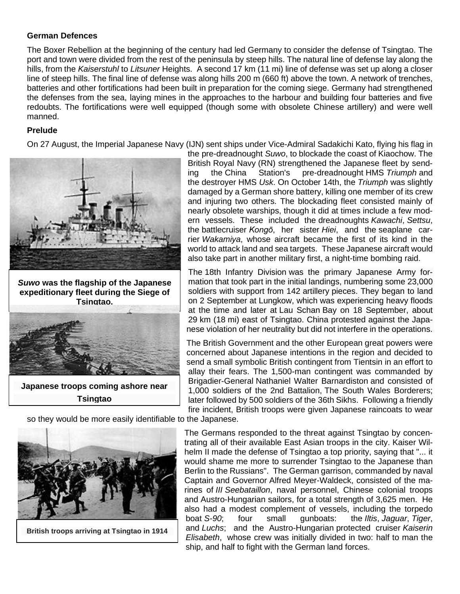#### **German Defences**

The [Boxer Rebellion](https://en.wikipedia.org/wiki/Boxer_Rebellion) at the beginning of the century had led Germany to consider the defense of Tsingtao. The port and town were divided from the rest of the peninsula by steep hills. The natural line of defense lay along the hills, from the *Kaiserstuhl* to *Litsuner* Heights. A second 17 km (11 mi) line of defense was set up along a closer line of steep hills. The final line of defense was along hills 200 m (660 ft) above the town. A network of trenches, batteries and other fortifications had been built in preparation for the coming siege. Germany had strengthened the defenses from the sea, laying mines in the approaches to the harbour and building four batteries and five redoubts. The fortifications were well equipped (though some with obsolete Chinese artillery) and were well manned.

### **Prelude**

On 27 August, the [Imperial Japanese Navy](https://en.wikipedia.org/wiki/Imperial_Japanese_Navy) (IJN) sent ships under Vice-Admiral [Sadakichi Kato,](https://en.wikipedia.org/wiki/Sadakichi_Kato) flying his flag in



*[Suwo](https://en.wikipedia.org/wiki/Japanese_battleship_Suwo)* **was the flagship of the Japanese expeditionary fleet during the Siege of Tsingtao.**



**[Japanese troops coming ashore near](https://en.wikipedia.org/wiki/File:Battle_of_Tsingtao_Japanese_Landing.jpg)  Tsingtao**

the [pre-dreadnought](https://en.wikipedia.org/wiki/Pre-dreadnought_battleship) *[Suwo](https://en.wikipedia.org/wiki/Japanese_battleship_Suwo)*, to blockade the coast of Kiaochow. The British [Royal Navy](https://en.wikipedia.org/wiki/Royal_Navy) (RN) strengthened the Japanese fleet by sending the [China Station's](https://en.wikipedia.org/wiki/China_Station) pre-dreadnought HMS *[Triumph](https://en.wikipedia.org/wiki/HMS_Triumph_(1903))* and the [destroyer](https://en.wikipedia.org/wiki/Destroyer) [HMS](https://en.wikipedia.org/wiki/HMS_Usk_(1903)) *Usk*. On October 14th, the *Triumph* was slightly damaged by a German shore battery, killing one member of its crew and injuring two others. The blockading fleet consisted mainly of nearly obsolete warships, though it did at times include a few modern vessels. These included the [dreadnoughts](https://en.wikipedia.org/wiki/Battleship) *[Kawachi](https://en.wikipedia.org/wiki/Japanese_battleship_Kawachi)*, *[Settsu](https://en.wikipedia.org/wiki/Japanese_battleship_Settsu)*, the [battlecruiser](https://en.wikipedia.org/wiki/Battlecruiser) *[Kongō](https://en.wikipedia.org/wiki/Japanese_battleship_Kong%C5%8D)*, her sister *[Hiei](https://en.wikipedia.org/wiki/Japanese_battleship_Hiei)*, and the [seaplane car](https://en.wikipedia.org/wiki/Seaplane_carrier)[rier](https://en.wikipedia.org/wiki/Seaplane_carrier) *[Wakamiya](https://en.wikipedia.org/wiki/Japanese_seaplane_carrier_Wakamiya)*, whose aircraft became the first of its kind in the world to attack land and sea targets. These Japanese aircraft would also take part in another military first, a night-time bombing raid.

The [18th Infantry Division](https://en.wikipedia.org/wiki/18th_Division_(Imperial_Japanese_Army)) was the primary Japanese Army formation that took part in the initial landings, numbering some 23,000 soldiers with support from 142 [artillery](https://en.wikipedia.org/wiki/Artillery) pieces. They began to land on 2 September at [Lungkow,](https://en.wikipedia.org/wiki/Longkou) which was experiencing heavy floods at the time and later at [Lau Schan](https://en.wikipedia.org/wiki/Laoshan_District) Bay on 18 September, about 29 km (18 mi) east of Tsingtao. China protested against the Japanese violation of her neutrality but did not interfere in the operations.

The British Government and the other European great powers were concerned about Japanese intentions in the region and decided to send a small symbolic British contingent from [Tientsin](https://en.wikipedia.org/wiki/Tianjin) in an effort to allay their fears. The 1,500-man contingent was commanded by Brigadier-General [Nathaniel Walter Barnardiston](https://en.wikipedia.org/w/index.php?title=Nathaniel_Walter_Barnardiston&action=edit&redlink=1) and consisted of 1,000 soldiers of the 2nd Battalion, [The South Wales Borderers;](https://en.wikipedia.org/wiki/The_South_Wales_Borderers) later followed by 500 soldiers of the [36th Sikhs.](https://en.wikipedia.org/wiki/36th_Sikhs) Following a friendly fire incident, British troops were given Japanese raincoats to wear

so they would be more easily identifiable to the Japanese.



The Germans responded to the threat against Tsingtao by concentrating all of their available East Asian troops in the city. [Kaiser Wil](https://en.wikipedia.org/wiki/Kaiser_Wilhelm_II)[helm II](https://en.wikipedia.org/wiki/Kaiser_Wilhelm_II) made the defense of Tsingtao a top priority, saying that "... it would shame me more to surrender Tsingtao to the Japanese than Berlin to the Russians". The German garrison, commanded by naval Captain and Governor [Alfred Meyer-Waldeck,](https://en.wikipedia.org/wiki/Alfred_Meyer-Waldeck) consisted of the marines of *III [Seebataillon](https://en.wikipedia.org/wiki/Seebataillon)*, naval personnel, Chinese colonial troops and Austro-Hungarian sailors, for a total strength of 3,625 men. He also had a modest complement of vessels, including the torpedo boat *S-90*; four small gunboats: the *Iltis*, *Jaguar*, *Tiger*, and *Luchs*; and the Austro-Hungarian [protected cruiser](https://en.wikipedia.org/wiki/Protected_cruiser) *[Kaiserin](https://en.wikipedia.org/wiki/SMS_Kaiserin_Elisabeth)  [Elisabeth](https://en.wikipedia.org/wiki/SMS_Kaiserin_Elisabeth)*, whose crew was initially divided in two: half to man the ship, and half to fight with the German land forces.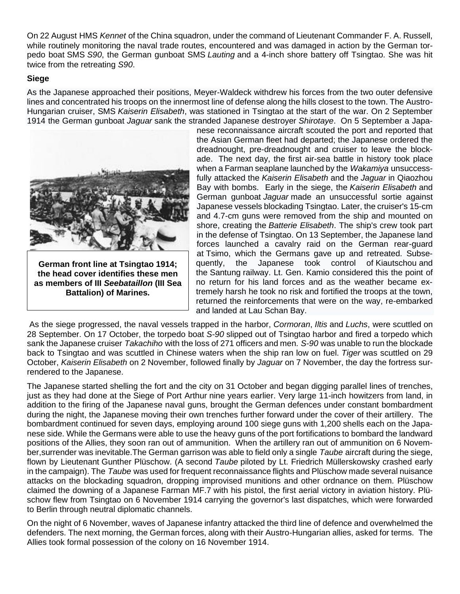On 22 August HMS *[Kennet](https://en.wikipedia.org/wiki/HMS_Kennet_(1903))* of the China squadron, under the command of Lieutenant Commander F. A. Russell, while routinely monitoring the naval trade routes, encountered and was damaged in action by the German torpedo boat [SMS](https://en.wikipedia.org/wiki/SMS_S90) *S90*, the German gunboat SMS *Lauting* and a 4-inch shore battery off Tsingtao. She was hit twice from the retreating *S90*.

### **Siege**

As the Japanese approached their positions, Meyer-Waldeck withdrew his forces from the two outer defensive lines and concentrated his troops on the innermost line of defense along the hills closest to the town. The Austro-Hungarian cruiser, SMS *Kaiserin Elisabeth*, was stationed in Tsingtao at the start of the war. On 2 September 1914 the German gunboat *Jaguar* sank the stranded Japanese destroyer *[Shirotaye](https://en.wikipedia.org/w/index.php?title=Japanese_destroyer_Shirotaye&action=edit&redlink=1)*. On 5 September a Japa-



**German front line at Tsingtao 1914; the head cover identifies these men as members of III** *[Seebataillon](https://en.wikipedia.org/wiki/Seebataillon)* **(III Sea Battalion) of Marines.**

nese reconnaissance aircraft scouted the port and reported that the Asian German fleet had departed; the Japanese ordered the dreadnought, pre-dreadnought and cruiser to leave the blockade. The next day, the first air-sea battle in history took place when a Farman seaplane launched by the *Wakamiya* unsuccessfully attacked the *Kaiserin Elisabeth* and the *Jaguar* in Qiaozhou Bay with bombs. Early in the siege, the *Kaiserin Elisabeth* and German gunboat *Jaguar* made an unsuccessful sortie against Japanese vessels blockading Tsingtao. Later, the cruiser's 15-cm and 4.7-cm guns were removed from the ship and mounted on shore, creating the *Batterie Elisabeth*. The ship's crew took part in the defense of Tsingtao. On 13 September, the Japanese land forces launched a cavalry raid on the German rear-guard at [Tsimo,](https://en.wikipedia.org/w/index.php?title=Tsimo&action=edit&redlink=1) which the Germans gave up and retreated. Subsequently, the Japanese took control of [Kiautschou](https://en.wikipedia.org/wiki/Kiautschou) and the [Santung](https://en.wikipedia.org/wiki/Shandong) railway. Lt. Gen. Kamio considered this the point of no return for his land forces and as the weather became extremely harsh he took no risk and fortified the troops at the town, returned the reinforcements that were on the way, re-embarked and landed at [Lau Schan](https://en.wikipedia.org/wiki/Laoshan_District) Bay.

As the siege progressed, the naval vessels trapped in the harbor, *Cormoran*, *Iltis* and *Luchs*, were [scuttled](https://en.wikipedia.org/wiki/Scuttling) on 28 September. On 17 October, the torpedo boat *S-90* slipped out of Tsingtao harbor and fired a torpedo which sank the Japanese cruiser *[Takachiho](https://en.wikipedia.org/wiki/Japanese_cruiser_Takachiho)* with the loss of 271 officers and men. *S-90* was unable to run the blockade back to Tsingtao and was scuttled in Chinese waters when the ship ran low on fuel. *Tiger* was scuttled on 29 October, *Kaiserin Elisabeth* on 2 November, followed finally by *Jaguar* on 7 November, the day the fortress surrendered to the Japanese.

The Japanese started shelling the fort and the city on 31 October and began digging parallel lines of trenches, just as they had done at the [Siege of Port Arthur](https://en.wikipedia.org/wiki/Siege_of_Port_Arthur) nine years earlier. Very large 11-inch howitzers from land, in addition to the firing of the Japanese naval guns, brought the German defences under constant bombardment during the night, the Japanese moving their own trenches further forward under the cover of their artillery. The bombardment continued for seven days, employing around 100 siege guns with 1,200 shells each on the Japanese side. While the Germans were able to use the heavy guns of the port fortifications to bombard the landward positions of the Allies, they soon ran out of ammunition. When the artillery ran out of ammunition on 6 November,surrender was inevitable.The German garrison was able to field only a single *[Taube](https://en.wikipedia.org/wiki/Etrich_Taube)* aircraft during the siege, flown by Lieutenant Gunther [Plüschow.](https://en.wikipedia.org/wiki/Gunther_Pl%C3%BCschow) (A second *Taube* piloted by Lt. Friedrich Müllerskowsky crashed early in the campaign). The *Taube* was used for frequent reconnaissance flights and Plüschow made several nuisance attacks on the blockading squadron, dropping improvised munitions and other ordnance on them. Plüschow claimed the downing of a Japanese [Farman MF.7](https://en.wikipedia.org/wiki/Farman_MF.7) with his pistol, the first aerial victory in aviation history. Plüschow flew from Tsingtao on 6 November 1914 carrying the governor's last dispatches, which were forwarded to Berlin through neutral diplomatic channels.

On the night of 6 November, waves of Japanese infantry attacked the third line of defence and overwhelmed the defenders. The next morning, the German forces, along with their Austro-Hungarian allies, asked for terms. The Allies took formal possession of the colony on 16 November 1914.